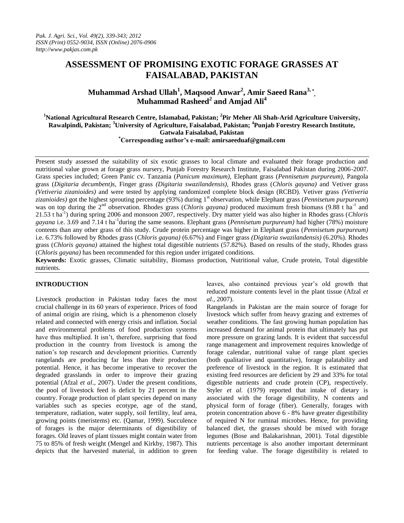# **ASSESSMENT OF PROMISING EXOTIC FORAGE GRASSES AT FAISALABAD, PAKISTAN**

**Muhammad Arshad Ullah<sup>1</sup> , Maqsood Anwar<sup>2</sup> , Amir Saeed Rana3, \* , Muhammad Rasheed<sup>2</sup> and Amjad Ali<sup>4</sup>**

## **<sup>1</sup>National Agricultural Research Centre, Islamabad, Pakistan; <sup>2</sup>Pir Meher Ali Shah-Arid Agriculture University, Rawalpindi, Pakistan; <sup>3</sup>University of Agriculture, Faisalabad, Pakistan; <sup>4</sup>Punjab Forestry Research Institute, Gatwala Faisalabad, Pakistan**

**\*Corresponding author's e-mail: [amirsaeeduaf@gmail.com](http://us.mc595.mail.yahoo.com/mc/compose?to=amirsaeeduaf@gmail.com)**

Present study assessed the suitability of six exotic grasses to local climate and evaluated their forage production and nutritional value grown at forage grass nursery, Punjab Forestry Research Institute, Faisalabad Pakistan during 2006-2007. Grass species included; Green Panic cv. Tanzania (*Panicum maximum)*, Elephant grass (*Pennisetum purpureum)*, Pangola grass (*Digitaria decumbent)s*, Finger grass *(Digitaria swazilandensis)*, Rhodes grass (*Chloris gayana)* and Vetiver grass *(Vetiveria zizanioides)* and were tested by applying randomized complete block design (RCBD). Vetiver grass *(Vetiveria zizanioides)* got the highest sprouting percentage (93%) during 1st observation, while Elephant grass (*Pennisetum purpureum*) was on top during the 2<sup>nd</sup> observation. Rhodes grass (*Chloris gayana*) produced maximum fresh biomass (9.88 t ha<sup>-1</sup> and 21.53 t ha-1 ) during spring 2006 and monsoon 2007, respectively. Dry matter yield was also higher in Rhodes grass (*Chloris gayana* i.e. 3.69 and 7.14 t ha-1 during the same seasons. Elephant grass (*Pennisetum purpureum)* had higher (78%) moisture contents than any other grass of this study. Crude protein percentage was higher in Elephant grass (*Pennisetum purpureum)* i.e. 6.73% followed by Rhodes grass (*Chloris gayana)* (6.67%) and Finger grass *(Digitaria swazilandensis)* (6.20%). Rhodes grass (*Chloris gayana)* attained the highest total digestible nutrients (57.82%). Based on results of the study, Rhodes grass (*Chloris gayana)* has been recommended for this region under irrigated conditions.

**Keywords:** Exotic grasses, Climatic suitability, Biomass production, Nutritional value, Crude protein, Total digestible nutrients.

### **INTRODUCTION**

Livestock production in Pakistan today faces the most crucial challenge in its 60 years of experience. Prices of food of animal origin are rising, which is a phenomenon closely related and connected with energy crisis and inflation. Social and environmental problems of food production systems have thus multiplied. It isn't, therefore, surprising that food production in the country from livestock is among the nation's top research and development priorities. Currently rangelands are producing far less than their production potential. Hence, it has become imperative to recover the degraded grasslands in order to improve their grazing potential (Afzal *et al*., 2007). Under the present conditions, the pool of livestock feed is deficit by 21 percent in the country. Forage production of plant species depend on many variables such as species ecotype, age of the stand, temperature, radiation, water supply, soil fertility, leaf area, growing points (meristems) etc. (Qamar, 1999). Succulence of forages is the major determinants of digestibility of forages. Old leaves of plant tissues might contain water from 75 to 85% of fresh weight (Mengel and Kirkby, 1987). This depicts that the harvested material, in addition to green leaves, also contained previous year's old growth that reduced moisture contents level in the plant tissue (Afzal *et al*., 2007).

Rangelands in Pakistan are the main source of forage for livestock which suffer from heavy grazing and extremes of weather conditions. The fast growing human population has increased demand for animal protein that ultimately has put more pressure on grazing lands. It is evident that successful range management and improvement requires knowledge of forage calendar, nutritional value of range plant species (both qualitative and quantitative), forage palatability and preference of livestock in the region. It is estimated that existing feed resources are deficient by 29 and 33% for total digestible nutrients and crude protein (CP), respectively. Styler *et al.* (1979) reported that intake of dietary is associated with the forage digestibility, N contents and physical form of forage (fiber). Generally, forages with protein concentration above 6 - 8% have greater digestibility of required N for ruminal microbes. Hence, for providing balanced diet, the grasses should be mixed with forage legumes (Bose and Balakarishnan, 2001). Total digestible nutrients percentage is also another important determinant for feeding value. The forage digestibility is related to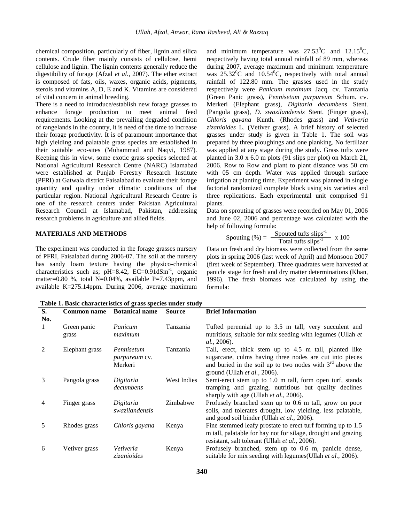chemical composition, particularly of fiber, lignin and silica contents. Crude fiber mainly consists of cellulose, hemi cellulose and lignin. The lignin contents generally reduce the digestibility of forage (Afzal *et al*., 2007). The ether extract is composed of fats, oils, waxes, organic acids, pigments, sterols and vitamins A, D, E and K. Vitamins are considered of vital concern in animal breeding.

There is a need to introduce/establish new forage grasses to enhance forage production to meet animal feed requirements. Looking at the prevailing degraded condition of rangelands in the country, it is need of the time to increase their forage productivity. It is of paramount importance that high yielding and palatable grass species are established in their suitable eco-sites (Muhammad and Naqvi, 1987). Keeping this in view, some exotic grass species selected at National Agricultural Research Centre (NARC) Islamabad were established at Punjab Forestry Research Institute (PFRI) at Gatwala district Faisalabad to evaluate their forage quantity and quality under climatic conditions of that particular region. National Agricultural Research Centre is one of the research centers under Pakistan Agricultural Research Council at Islamabad, Pakistan, addressing research problems in agriculture and allied fields.

#### **MATERIALS AND METHODS**

The experiment was conducted in the forage grasses nursery of PFRI, Faisalabad during 2006-07. The soil at the nursery has sandy loam texture having the physico-chemical characteristics such as;  $pH=8.42$ ,  $EC=0.91dSm^{-1}$ , organic matter=0.80 %, total N=0.04%, available P=7.43ppm, and available K=275.14ppm. During 2006, average maximum

and minimum temperature was  $27.53^{\circ}$ C and  $12.15^{\circ}$ C, respectively having total annual rainfall of 89 mm, whereas during 2007, average maximum and minimum temperature was  $25.32^{\circ}$ C and  $10.54^{\circ}$ C, respectively with total annual rainfall of 122.80 mm. The grasses used in the study respectively were *Panicum maximum* Jacq. cv. Tanzania (Green Panic grass), *Pennisetum purpureum* Schum. cv. Merkeri (Elephant grass), *Digitaria decumbens* Stent. (Pangola grass), *D. swazilandensis* Stent. (Finger grass), *Chloris gayana* Kunth. (Rhodes grass) and *Vetiveria zizanioides* L. (Vetiver grass). A brief history of selected grasses under study is given in Table 1. The soil was prepared by three ploughings and one planking. No fertilizer was applied at any stage during the study. Grass tufts were planted in 3.0 x 6.0 m plots (91 slips per plot) on March 21, 2006. Row to Row and plant to plant distance was 50 cm with 05 cm depth. Water was applied through surface irrigation at planting time. Experiment was planned in single factorial randomized complete block using six varieties and three replications. Each experimental unit comprised 91 plants.

Data on sprouting of grasses were recorded on May 01, 2006 and June 02, 2006 and percentage was calculated with the help of following formula:

Spouting (
$$
\%
$$
) =  $\frac{\text{Spouted tufts slips}^{-1}}{\text{Total tufts slips}^{-1}}$  x 100

Data on fresh and dry biomass were collected from the same plots in spring 2006 (last week of April) and Monsoon 2007 (first week of September). Three quadrates were harvested at panicle stage for fresh and dry matter determinations (Khan, 1996). The fresh biomass was calculated by using the formula:

**S.**   $\frac{N_{0.}}{1}$ **Common name Botanical name Source Brief Information** Green panic grass *Panicum maximum* Tanzania Tufted perennial up to 3.5 m tall, very succulent and nutritious, suitable for mix seeding with legumes (Ullah *et al.,* 2006). 2 Elephant grass *Pennisetum purpureum* cv. Merkeri Tanzania Tall, erect, thick stem up to 4.5 m tall, planted like sugarcane, culms having three nodes are cut into pieces and buried in the soil up to two nodes with  $3<sup>rd</sup>$  above the ground (Ullah *et al.,* 2006). 3 Pangola grass *Digitaria decumbens* West Indies Semi-erect stem up to 1.0 m tall, form open turf, stands tramping and grazing, nutritious but quality declines sharply with age (Ullah *et al.,* 2006). 4 Finger grass *Digitaria swazilandensis* Zimbabwe Profusely branched stem up to 0.6 m tall, grow on poor soils, and tolerates drought, low yielding, less palatable, and good soil binder (Ullah *et al.,* 2006). 5 Rhodes grass *Chloris gayana* Kenya Fine stemmed leafy prostate to erect turf forming up to 1.5 m tall, palatable for hay not for silage, drought and grazing resistant, salt tolerant (Ullah *et al*., 2006). 6 Vetiver grass *Vetiveria zizanioides*  Kenya Profusely branched, stem up to 0.6 m, panicle dense, suitable for mix seeding with legumes(Ullah *et al.,* 2006).

**Table 1. Basic characteristics of grass species under study**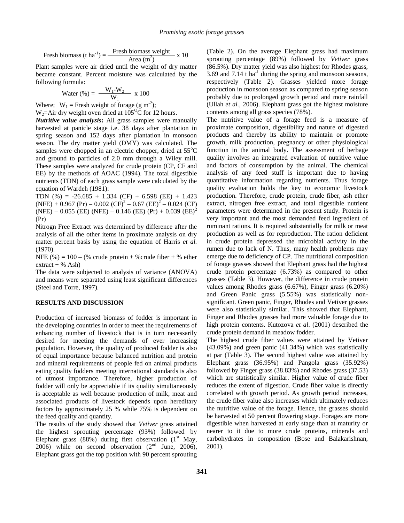Fresh biomass (t ha<sup>-1</sup>) =  $\frac{\text{Fresh biomass weight}}{\text{Area (m}^2)}$  x 10

Plant samples were air dried until the weight of dry matter became constant. Percent moisture was calculated by the following formula:

Water (
$$
\%
$$
) =  $\frac{W_1-W_2}{W_1}$  x 100

Where;  $W_1$  = Fresh weight of forage (g m<sup>-2</sup>);  $W_2$ =Air dry weight oven dried at 105<sup>o</sup>C for 12 hours.

*Nutritive value analysis***:** All grass samples were manually harvested at panicle stage i.e. 38 days after plantation in spring season and 152 days after plantation in monsoon season. The dry matter yield (DMY) was calculated. The samples were chopped in an electric chopper, dried at  $55^{\circ}$ C and ground to particles of 2.0 mm through a Wiley mill. These samples were analyzed for crude protein (CP, CF and EE) by the methods of AOAC (1994). The total digestible nutrients (TDN) of each grass sample were calculated by the equation of Wardeh (1981):

TDN (%) =  $-26.685 + 1.334$  (CF) + 6.598 (EE) + 1.423  $(NFE) + 0.967 (Pr) - 0.002 (CF)<sup>2</sup> - 0.67 (EE)<sup>2</sup> - 0.024 (CF)$  $(NFE) - 0.055$  (EE)  $(NFE) - 0.146$  (EE)  $(Pr) + 0.039$  (EE)<sup>2</sup> (Pr)

Nitrogn Free Extract was determined by difference after the analysis of all the other items in proximate analysis on dry matter percent basis by using the equation of Harris *et al.* (1970).

NFE  $(\% ) = 100 - (\%$  crude protein + %crude fiber + % ether  $extract + % Ash)$ 

The data were subjected to analysis of variance (ANOVA) and means were separated using least significant differences (Steel and Torre, 1997).

#### **RESULTS AND DISCUSSION**

Production of increased biomass of fodder is important in the developing countries in order to meet the requirements of enhancing number of livestock that is in turn necessarily desired for meeting the demands of ever increasing population. However, the quality of produced fodder is also of equal importance because balanced nutrition and protein and mineral requirements of people fed on animal products eating quality fodders meeting international standards is also of utmost importance. Therefore, higher production of fodder will only be appreciable if its quality simultaneously is acceptable as well because production of milk, meat and associated products of livestock depends upon hereditary factors by approximately 25 % while 75% is dependent on the feed quality and quantity.

The results of the study showed that *Vetiver* grass attained the highest sprouting percentage (93%) followed by Elephant grass (88%) during first observation  $(1<sup>st</sup>$  May, 2006) while on second observation  $(2<sup>nd</sup>$  June, 2006), Elephant grass got the top position with 90 percent sprouting

(Table 2). On the average Elephant grass had maximum sprouting percentage (89%) followed by *Vetiver* grass (86.5%). Dry matter yield was also highest for Rhodes grass,  $3.69$  and  $7.14$  t ha<sup>-1</sup> during the spring and monsoon seasons, respectively (Table 2). Grasses yielded more forage production in monsoon season as compared to spring season probably due to prolonged growth period and more rainfall (Ullah *et al.*, 2006). Elephant grass got the highest moisture contents among all grass species (78%).

The nutritive value of a forage feed is a measure of proximate composition, digestibility and nature of digested products and thereby its ability to maintain or promote growth, milk production, pregnancy or other physiological function in the animal body. The assessment of herbage quality involves an integrated evaluation of nutritive value and factors of consumption by the animal. The chemical analysis of any feed stuff is important due to having quantitative information regarding nutrients. Thus forage quality evaluation holds the key to economic livestock production. Therefore, crude protein, crude fiber, ash ether extract, nitrogen free extract, and total digestible nutrient parameters were determined in the present study. Protein is very important and the most demanded feed ingredient of ruminant rations. It is required substantially for milk or meat production as well as for reproduction. The ration deficient in crude protein depressed the microbial activity in the rumen due to lack of N. Thus, many health problems may emerge due to deficiency of CP. The nutritional composition of forage grasses showed that Elephant grass had the highest crude protein percentage (6.73%) as compared to other grasses (Table 3). However, the difference in crude protein values among Rhodes grass (6.67%), Finger grass (6.20%) and Green Panic grass (5.55%) was statistically nonsignificant. Green panic, Finger, Rhodes and Vetiver grasses were also statistically similar. This showed that Elephant, Finger and Rhodes grasses had more valuable forage due to high protein contents. Kutozova *et al*. (2001) described the crude protein demand in meadow fodder.

The highest crude fiber values were attained by Vetiver (43.09%) and green panic (41.34%) which was statistically at par (Table 3). The second highest value was attained by Elephant grass (36.95%) and Pangola grass (35.92%) followed by Finger grass (38.83%) and Rhodes grass (37.53) which are statistically similar. Higher value of crude fiber reduces the extent of digestion. Crude fiber value is directly correlated with growth period. As growth period increases, the crude fiber value also increases which ultimately reduces the nutritive value of the forage. Hence, the grasses should be harvested at 50 percent flowering stage. Forages are more digestible when harvested at early stage than at maturity or nearer to it due to more crude proteins, minerals and carbohydrates in composition (Bose and Balakarishnan, 2001).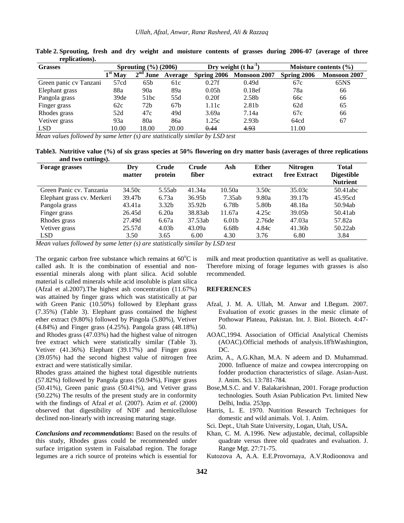| <b>Grasses</b>         | Sprouting $(\%)(2006)$ |                 |                 |                   | Dry weight $(t \, ha^{-1})$ | Moisture contents $(\% )$ |                     |
|------------------------|------------------------|-----------------|-----------------|-------------------|-----------------------------|---------------------------|---------------------|
|                        | $1st$ May              | $2nd$ June      | Average         | Spring 2006       | <b>Monsoon 2007</b>         | Spring 2006               | <b>Monsoon 2007</b> |
| Green panic cv Tanzani | 57cd                   | 65 <sub>b</sub> | 61c             | 0.27f             | 0.49d                       | 67c                       | 65NS                |
| Elephant grass         | 88a                    | 90a             | 89a             | 0.05 <sub>h</sub> | 0.18ef                      | 78a                       | 66                  |
| Pangola grass          | 39de                   | 51bc            | 55d             | 0.20f             | 2.58b                       | 66c                       | 66                  |
| Finger grass           | 62c                    | 72 <sub>b</sub> | 67 <sub>b</sub> | 1.11c             | 2.81b                       | 62d                       | 65                  |
| Rhodes grass           | 52d                    | 47c             | 49d             | 3.69a             | 7.14a                       | 67c                       | 66                  |
| Vetiver grass          | 93a                    | 80a             | 86a             | 1.25c             | 2.93 <sub>b</sub>           | 64cd                      | 67                  |
| LSD <sub>.</sub>       | 10.00                  | 18.00           | 20.00           | 0.44              | 4.93                        | 11.00                     |                     |

**Table 2. Sprouting, fresh and dry weight and moisture contents of grasses during 2006-07 (average of three replications).** 

*Mean values followed by same letter (s) are statistically similar by LSD test* 

**Table3. Nutritive value (%) of six grass species at 50% flowering on dry matter basis (averages of three replications and two cuttings).**

| <b>Forage grasses</b>      | Dry                | Crude             | Crude   | Ash               | <b>Ether</b> | <b>Nitrogen</b>    | <b>Total</b>      |
|----------------------------|--------------------|-------------------|---------|-------------------|--------------|--------------------|-------------------|
|                            | matter             | protein           | fiber   |                   | extract      | free Extract       | <b>Digestible</b> |
|                            |                    |                   |         |                   |              |                    | <b>Nutrient</b>   |
| Green Panic cv. Tanzania   | 34.50c             | 5.55ab            | 41.34a  | 10.50a            | 3.50c        | 35.03c             | 50.41 abc         |
| Elephant grass cv. Merkeri | 39.47 <sub>b</sub> | 6.73a             | 36.95b  | 7.35ab            | 9.80a        | 39.17 <sub>b</sub> | 45.95cd           |
| Pangola grass              | 43.41a             | 3.32 <sub>b</sub> | 35.92b  | 6.78 <sub>b</sub> | 5.80b        | 48.18a             | 50.94ab           |
| Finger grass               | 26.45d             | 6.20a             | 38.83ab | 11.67a            | 4.25c        | 39.05b             | 50.41ab           |
| Rhodes grass               | 27.49d             | 6.67a             | 37.53ab | 6.01 <sub>b</sub> | 2.76de       | 47.03a             | 57.82a            |
| Vetiver grass              | 25.57d             | 4.03 <sub>b</sub> | 43.09a  | 6.68 <sub>b</sub> | 4.84c        | 41.36b             | 50.22ab           |
| <b>LSD</b>                 | 3.50               | 3.65              | 6.00    | 4.30              | 3.76         | 6.80               | 3.84              |

*Mean values followed by same letter (s) are statistically similar by LSD test* 

The organic carbon free substance which remains at  $60^{\circ}$ C is called ash. It is the combination of essential and nonessential minerals along with plant silica. Acid soluble material is called minerals while acid insoluble is plant silica (Afzal et al.2007).The highest ash concentration (11.67%) was attained by finger grass which was statistically at par with Green Panic (10.50%) followed by Elephant grass (7.35%) (Table 3). Elephant grass contained the highest ether extract (9.80%) followed by Pingola (5.80%), Vetiver (4.84%) and Finger grass (4.25%). Pangola grass (48.18%) and Rhodes grass (47.03%) had the highest value of nitrogen free extract which were statistically similar (Table 3). Vetiver (41.36%) Elephant (39.17%) and Finger grass (39.05%) had the second highest value of nitrogen free extract and were statistically similar.

Rhodes grass attained the highest total digestible nutrients (57.82%) followed by Pangola grass (50.94%), Finger grass (50.41%), Green panic grass (50.41%), and Vetiver grass (50.22%) The results of the present study are in conformity with the findings of Afzal *et al.* (2007). Azim *et al*. (2000) observed that digestibility of NDF and hemicellulose declined non-linearly with increasing maturing stage.

*Conclusions and recommendations***:** Based on the results of this study, Rhodes grass could be recommended under surface irrigation system in Faisalabad region. The forage legumes are a rich source of proteins which is essential for

milk and meat production quantitative as well as qualitative. Therefore mixing of forage legumes with grasses is also recommended.

#### **REFERENCES**

- Afzal, J. M. A. Ullah, M. Anwar and I.Begum. 2007. Evaluation of exotic grasses in the mesic climate of Pothowar Plateau, Pakistan. Int. J. Biol. Biotech. 4:47- 50.
- AOAC,1994. Association of Official Analytical Chemists (AOAC). Official methods of analysis. 18<sup>t</sup>h Washington, DC.
- Azim, A., A.G.Khan, M.A. N adeem and D. Muhammad. 2000. Influence of maize and cowpea intercropping on fodder production characteristics of silage. Asian-Aust. J. Anim. Sci. 13:781-784.
- Bose,M.S.C. and V. Balakarishnan, 2001. Forage production technologies. South Asian Publication Pvt. limited New Delhi, India. 253pp.
- Harris, L. E. 1970. Nutrition Research Techniques for domestic and wild animals. Vol. 1. Anim.
- Sci. Dept., Utah State University, Logan, Utah, USA**.**
- Khan, C. M. A.1996. New adjustable, decimal, collapsible quadrate versus three old quadrates and evaluation. J. Range Mgt. 27:71-75.
- Kutozova A, A.A. E.E.Provornaya, A.V.Rodioonova and